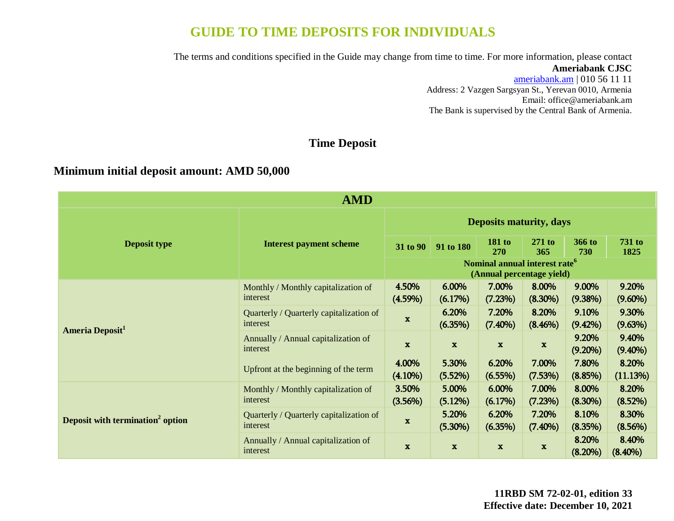# **GUIDE TO TIME DEPOSITS FOR INDIVIDUALS**

The terms and conditions specified in the Guide may change from time to time. For more information, please contact

## **Ameriabank CJSC**

[ameriabank.am](https://ameriabank.am/default.aspx?lang=28) | 010 56 11 11 Address: 2 Vazgen Sargsyan St., Yerevan 0010, Armenia Email: <office@ameriabank.am> The Bank is supervised by the Central Bank of Armenia.

## **Time Deposit**

## **Minimum initial deposit amount: AMD 50,000**

| <b>AMD</b>                                   |                                                     |                                |                     |                                                                        |                     |                     |                       |
|----------------------------------------------|-----------------------------------------------------|--------------------------------|---------------------|------------------------------------------------------------------------|---------------------|---------------------|-----------------------|
|                                              | <b>Interest payment scheme</b>                      | <b>Deposits maturity, days</b> |                     |                                                                        |                     |                     |                       |
| <b>Deposit type</b>                          |                                                     | 31 to 90                       | 91 to 180           | <b>181 to</b><br><b>270</b>                                            | $271$ to<br>365     | 366 to<br>730       | <b>731 to</b><br>1825 |
|                                              |                                                     |                                |                     | Nominal annual interest rate <sup>6</sup><br>(Annual percentage yield) |                     |                     |                       |
| Ameria Deposit <sup>1</sup>                  | Monthly / Monthly capitalization of<br>interest     | 4.50%<br>$(4.59\%)$            | 6.00%<br>(6.17%)    | 7.00%<br>(7.23%)                                                       | 8.00%<br>$(8.30\%)$ | 9.00%<br>$(9.38\%)$ | 9.20%<br>$(9.60\%)$   |
|                                              | Quarterly / Quarterly capitalization of<br>interest | $\mathbf{x}$                   | 6.20%<br>(6.35%)    | 7.20%<br>$(7.40\%)$                                                    | 8.20%<br>$(8.46\%)$ | 9.10%<br>$(9.42\%)$ | 9.30%<br>(9.63%)      |
|                                              | Annually / Annual capitalization of<br>interest     | $\mathbf{x}$                   | $\mathbf x$         | $\mathbf x$                                                            | $\mathbf x$         | 9.20%<br>$(9.20\%)$ | 9.40%<br>$(9.40\%)$   |
|                                              | Upfront at the beginning of the term                | 4.00%<br>$(4.10\%)$            | 5.30%<br>(5.52%)    | 6.20%<br>$(6.55\%)$                                                    | 7.00%<br>(7.53%)    | 7.80%<br>(8.85%)    | 8.20%<br>(11.13%)     |
| Deposit with termination <sup>2</sup> option | Monthly / Monthly capitalization of<br>interest     | 3.50%<br>(3.56%)               | 5.00%<br>(5.12%)    | 6.00%<br>$(6.17\%)$                                                    | 7.00%<br>(7.23%)    | 8.00%<br>$(8.30\%)$ | 8.20%<br>(8.52%)      |
|                                              | Quarterly / Quarterly capitalization of<br>interest | $\mathbf{x}$                   | 5.20%<br>$(5.30\%)$ | 6.20%<br>$(6.35\%)$                                                    | 7.20%<br>$(7.40\%)$ | 8.10%<br>(8.35%)    | 8.30%<br>(8.56%)      |
|                                              | Annually / Annual capitalization of<br>interest     | $\mathbf{x}$                   | $\mathbf x$         | $\mathbf x$                                                            | $\mathbf{x}$        | 8.20%<br>$(8.20\%)$ | 8.40%<br>$(8.40\%)$   |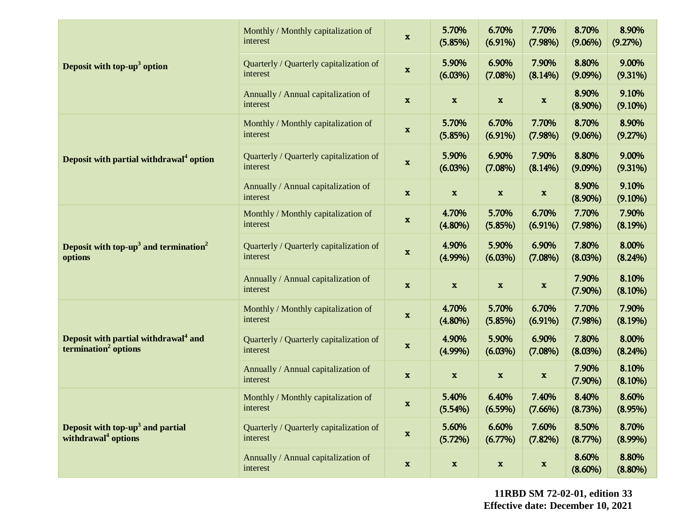|                                                                                      | Monthly / Monthly capitalization of<br>interest     | $\mathbf x$               | 5.70%<br>(5.85%)    | 6.70%<br>$(6.91\%)$       | 7.70%<br>$(7.98\%)$       | 8.70%<br>$(9.06\%)$ | 8.90%<br>(9.27%)    |
|--------------------------------------------------------------------------------------|-----------------------------------------------------|---------------------------|---------------------|---------------------------|---------------------------|---------------------|---------------------|
| Deposit with top-up <sup>3</sup> option                                              | Quarterly / Quarterly capitalization of<br>interest | $\boldsymbol{\mathrm{x}}$ | 5.90%<br>$(6.03\%)$ | 6.90%<br>$(7.08\%)$       | 7.90%<br>$(8.14\%)$       | 8.80%<br>$(9.09\%)$ | 9.00%<br>(9.31%)    |
|                                                                                      | Annually / Annual capitalization of<br>interest     | $\mathbf{x}$              | $\mathbf{x}$        | $\boldsymbol{\mathrm{X}}$ | $\boldsymbol{\mathrm{X}}$ | 8.90%<br>$(8.90\%)$ | 9.10%<br>$(9.10\%)$ |
|                                                                                      | Monthly / Monthly capitalization of<br>interest     | $\mathbf x$               | 5.70%<br>(5.85%)    | 6.70%<br>$(6.91\%)$       | 7.70%<br>(7.98%)          | 8.70%<br>$(9.06\%)$ | 8.90%<br>(9.27%)    |
| Deposit with partial withdrawal <sup>4</sup> option                                  | Quarterly / Quarterly capitalization of<br>interest | $\mathbf{x}$              | 5.90%<br>(6.03%)    | 6.90%<br>$(7.08\%)$       | 7.90%<br>$(8.14\%)$       | 8.80%<br>$(9.09\%)$ | 9.00%<br>(9.31%)    |
|                                                                                      | Annually / Annual capitalization of<br>interest     | $\mathbf x$               | $\mathbf x$         | $\boldsymbol{\mathrm{x}}$ | $\boldsymbol{\mathrm{x}}$ | 8.90%<br>$(8.90\%)$ | 9.10%<br>$(9.10\%)$ |
| Deposit with top-up <sup>3</sup> and termination <sup>2</sup><br>options             | Monthly / Monthly capitalization of<br>interest     | $\mathbf x$               | 4.70%<br>$(4.80\%)$ | 5.70%<br>(5.85%)          | 6.70%<br>$(6.91\%)$       | 7.70%<br>(7.98%)    | 7.90%<br>(8.19%)    |
|                                                                                      | Quarterly / Quarterly capitalization of<br>interest | $\mathbf x$               | 4.90%<br>$(4.99\%)$ | 5.90%<br>(6.03%)          | 6.90%<br>$(7.08\%)$       | 7.80%<br>(8.03%)    | 8.00%<br>$(8.24\%)$ |
|                                                                                      | Annually / Annual capitalization of<br>interest     | $\mathbf{x}$              | $\mathbf{x}$        | $\boldsymbol{\mathrm{X}}$ | $\boldsymbol{\mathrm{X}}$ | 7.90%<br>$(7.90\%)$ | 8.10%<br>$(8.10\%)$ |
| Deposit with partial withdrawal <sup>4</sup> and<br>termination <sup>2</sup> options | Monthly / Monthly capitalization of<br>interest     | $\mathbf x$               | 4.70%<br>$(4.80\%)$ | 5.70%<br>(5.85%)          | 6.70%<br>$(6.91\%)$       | 7.70%<br>(7.98%)    | 7.90%<br>(8.19%)    |
|                                                                                      | Quarterly / Quarterly capitalization of<br>interest | $\boldsymbol{\mathrm{x}}$ | 4.90%<br>$(4.99\%)$ | 5.90%<br>$(6.03\%)$       | 6.90%<br>$(7.08\%)$       | 7.80%<br>(8.03%)    | 8.00%<br>(8.24%)    |
|                                                                                      | Annually / Annual capitalization of<br>interest     | $\mathbf x$               | $\mathbf x$         | $\mathbf x$               | $\boldsymbol{\mathrm{x}}$ | 7.90%<br>$(7.90\%)$ | 8.10%<br>$(8.10\%)$ |
| Deposit with top-up <sup>3</sup> and partial<br>withdrawal <sup>4</sup> options      | Monthly / Monthly capitalization of<br>interest     | X                         | 5.40%<br>(5.54%)    | 6.40%<br>$(6.59\%)$       | 7.40%<br>$(7.66\%)$       | 8.40%<br>(8.73%)    | 8.60%<br>(8.95%)    |
|                                                                                      | Quarterly / Quarterly capitalization of<br>interest | $\mathbf{x}$              | 5.60%<br>(5.72%)    | 6.60%<br>$(6.77\%)$       | 7.60%<br>$(7.82\%)$       | 8.50%<br>(8.77%)    | 8.70%<br>$(8.99\%)$ |
|                                                                                      | Annually / Annual capitalization of<br>interest     | $\mathbf x$               | $\mathbf x$         | $\mathbf x$               | $\boldsymbol{\mathrm{x}}$ | 8.60%<br>$(8.60\%)$ | 8.80%<br>$(8.80\%)$ |

**11RBD SM 72-02-01, edition 33 Effective date: December 10, 2021**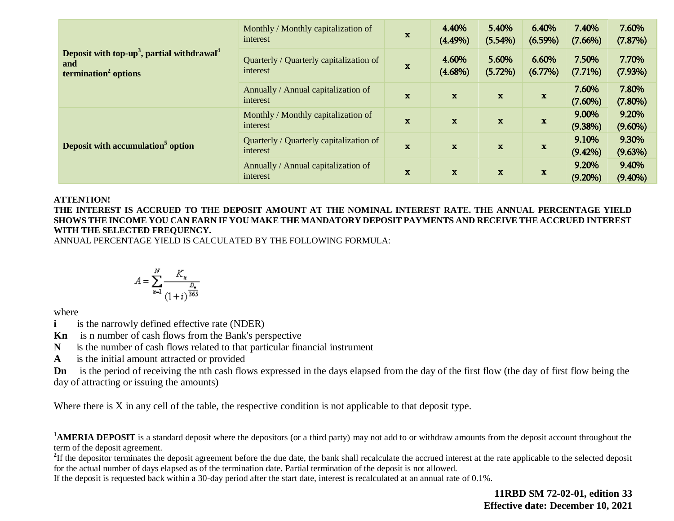|                                                                                                               | Monthly / Monthly capitalization of<br>interest     | $\mathbf x$  | 4.40%<br>$(4.49\%)$ | 5.40%<br>$(5.54\%)$        | 6.40%<br>$(6.59\%)$ | 7.40%<br>$(7.66\%)$ | 7.60%<br>(7.87%)    |
|---------------------------------------------------------------------------------------------------------------|-----------------------------------------------------|--------------|---------------------|----------------------------|---------------------|---------------------|---------------------|
| Deposit with top-up <sup>3</sup> , partial withdrawal <sup>4</sup><br>and<br>termination <sup>2</sup> options | Quarterly / Quarterly capitalization of<br>interest | $\mathbf{x}$ | 4.60%<br>$(4.68\%)$ | 5.60%<br>(5.72%)           | 6.60%<br>$(6.77\%)$ | 7.50%<br>$(7.71\%)$ | 7.70%<br>(7.93%)    |
|                                                                                                               | Annually / Annual capitalization of<br>interest     | $\mathbf{x}$ | $\mathbf{x}$        | $\mathbf x$                | $\mathbf x$         | 7.60%<br>$(7.60\%)$ | 7.80%<br>$(7.80\%)$ |
|                                                                                                               | Monthly / Monthly capitalization of<br>interest     | $\mathbf{x}$ | $\mathbf x$         | $\mathbf x$                | $\mathbf x$         | 9.00%<br>$(9.38\%)$ | 9.20%<br>$(9.60\%)$ |
| Deposit with accumulation <sup>5</sup> option                                                                 | Quarterly / Quarterly capitalization of<br>interest | $\mathbf x$  | $\mathbf x$         | $\mathbf x$                | $\mathbf x$         | 9.10%<br>$(9.42\%)$ | 9.30%<br>(9.63%)    |
|                                                                                                               | Annually / Annual capitalization of<br>interest     | $\mathbf{x}$ | $\mathbf{x}$        | $\mathbf x$<br>$\mathbf x$ |                     | 9.20%<br>$(9.20\%)$ | 9.40%<br>$(9.40\%)$ |

#### **ATTENTION!**

**THE INTEREST IS ACCRUED TO THE DEPOSIT AMOUNT AT THE NOMINAL INTEREST RATE. THE ANNUAL PERCENTAGE YIELD SHOWS THE INCOME YOU CAN EARN IF YOU MAKE THE MANDATORY DEPOSIT PAYMENTS AND RECEIVE THE ACCRUED INTEREST WITH THE SELECTED FREQUENCY.** 

ANNUAL PERCENTAGE YIELD IS CALCULATED BY THE FOLLOWING FORMULA:

$$
A = \sum_{n=1}^{N} \frac{K_n}{\frac{D_n}{(1+i)^{\frac{D_n}{365}}}}
$$

where

**i** is the narrowly defined effective rate (NDER)

**Kn** is n number of cash flows from the Bank's perspective

**N** is the number of cash flows related to that particular financial instrument

**A** is the initial amount attracted or provided

**Dn** is the period of receiving the nth cash flows expressed in the days elapsed from the day of the first flow (the day of first flow being the day of attracting or issuing the amounts)

Where there is X in any cell of the table, the respective condition is not applicable to that deposit type.

<sup>1</sup>**AMERIA DEPOSIT** is a standard deposit where the depositors (or a third party) may not add to or withdraw amounts from the deposit account throughout the term of the deposit agreement.

<sup>2</sup>If the depositor terminates the deposit agreement before the due date, the bank shall recalculate the accrued interest at the rate applicable to the selected deposit for the actual number of days elapsed as of the termination date. Partial termination of the deposit is not allowed.

If the deposit is requested back within a 30-day period after the start date, interest is recalculated at an annual rate of 0.1%.

**11RBD SM 72-02-01, edition 33 Effective date: December 10, 2021**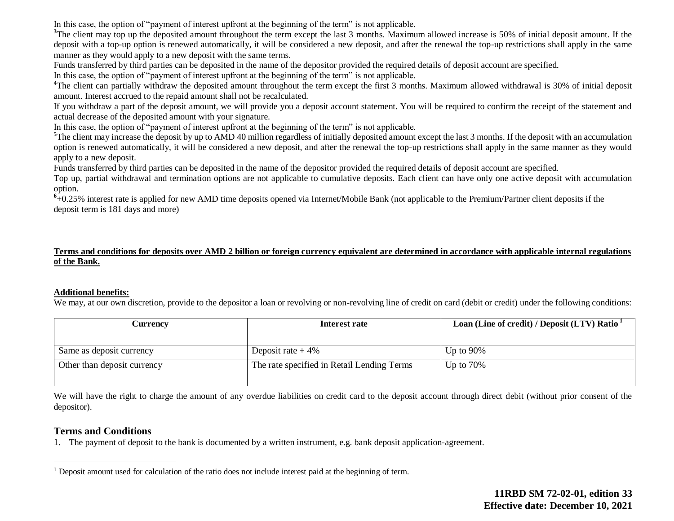In this case, the option of "payment of interest upfront at the beginning of the term" is not applicable.

<sup>3</sup>The client may top up the deposited amount throughout the term except the last 3 months. Maximum allowed increase is 50% of initial deposit amount. If the deposit with a top-up option is renewed automatically, it will be considered a new deposit, and after the renewal the top-up restrictions shall apply in the same manner as they would apply to a new deposit with the same terms.

Funds transferred by third parties can be deposited in the name of the depositor provided the required details of deposit account are specified.

In this case, the option of "payment of interest upfront at the beginning of the term" is not applicable.

<sup>4</sup>The client can partially withdraw the deposited amount throughout the term except the first 3 months. Maximum allowed withdrawal is 30% of initial deposit amount. Interest accrued to the repaid amount shall not be recalculated.

If you withdraw a part of the deposit amount, we will provide you a deposit account statement. You will be required to confirm the receipt of the statement and actual decrease of the deposited amount with your signature.

In this case, the option of "payment of interest upfront at the beginning of the term" is not applicable.

<sup>5</sup>The client may increase the deposit by up to AMD 40 million regardless of initially deposited amount except the last 3 months. If the deposit with an accumulation option is renewed automatically, it will be considered a new deposit, and after the renewal the top-up restrictions shall apply in the same manner as they would apply to a new deposit.

Funds transferred by third parties can be deposited in the name of the depositor provided the required details of deposit account are specified.

Top up, partial withdrawal and termination options are not applicable to cumulative deposits. Each client can have only one active deposit with accumulation option.

<sup>6</sup>+0.25% interest rate is applied for new AMD time deposits opened via Internet/Mobile Bank (not applicable to the Premium/Partner client deposits if the deposit term is 181 days and more)

## **Terms and conditions for deposits over AMD 2 billion or foreign currency equivalent are determined in accordance with applicable internal regulations of the Bank.**

### **Additional benefits:**

We may, at our own discretion, provide to the depositor a loan or revolving or non-revolving line of credit on card (debit or credit) under the following conditions:

| Currencv                    | Interest rate                              | Loan (Line of credit) / Deposit (LTV) Ratio <sup>1</sup> |
|-----------------------------|--------------------------------------------|----------------------------------------------------------|
|                             |                                            |                                                          |
| Same as deposit currency    | Deposit rate $+4\%$                        | Up to $90\%$                                             |
| Other than deposit currency | The rate specified in Retail Lending Terms | Up to $70\%$                                             |
|                             |                                            |                                                          |

We will have the right to charge the amount of any overdue liabilities on credit card to the deposit account through direct debit (without prior consent of the depositor).

## **Terms and Conditions**

 $\overline{a}$ 

1. The payment of deposit to the bank is documented by a written instrument, e.g. bank deposit application-agreement.

<sup>1</sup> Deposit amount used for calculation of the ratio does not include interest paid at the beginning of term.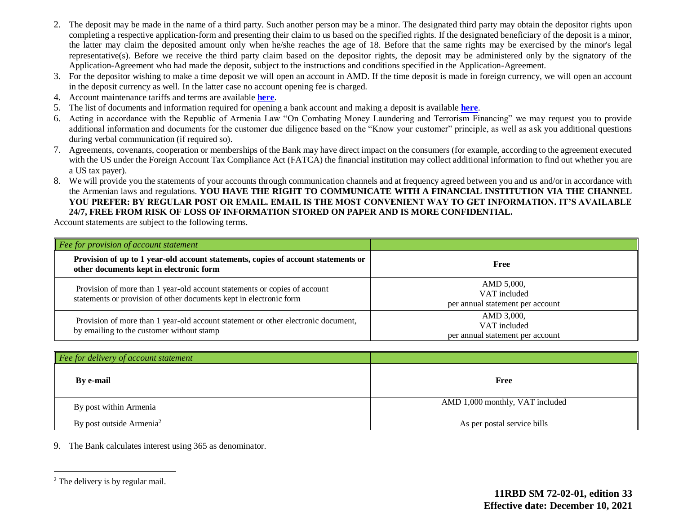- 2. The deposit may be made in the name of a third party. Such another person may be a minor. The designated third party may obtain the depositor rights upon completing a respective application-form and presenting their claim to us based on the specified rights. If the designated beneficiary of the deposit is a minor, the latter may claim the deposited amount only when he/she reaches the age of 18. Before that the same rights may be exercised by the minor's legal representative(s). Before we receive the third party claim based on the depositor rights, the deposit may be administered only by the signatory of the Application-Agreement who had made the deposit, subject to the instructions and conditions specified in the Application-Agreement.
- 3. For the depositor wishing to make a time deposit we will open an account in AMD. If the time deposit is made in foreign currency, we will open an account in the deposit currency as well. In the latter case no account opening fee is charged.
- 4. Account maintenance tariffs and terms are available **[here](https://www2.ameriabank.am/content.aspx?id=openning+and+service+of+bank+accounts+(retail)&page=99&itm=account&lang=28)**.
- 5. The list of documents and information required for opening a bank account and making a deposit is available **[here](https://www2.ameriabank.am/userfiles/file/Account_openning_required_documents_2_eng.pdf)**.
- 6. Acting in accordance with the Republic of Armenia Law "On Combating Money Laundering and Terrorism Financing" we may request you to provide additional information and documents for the customer due diligence based on the "Know your customer" principle, as well as ask you additional questions during verbal communication (if required so).
- 7. Agreements, covenants, cooperation or memberships of the Bank may have direct impact on the consumers (for example, according to the agreement executed with the US under the Foreign Account Tax Compliance Act (FATCA) the financial institution may collect additional information to find out whether you are a US tax payer).
- 8. We will provide you the statements of your accounts through communication channels and at frequency agreed between you and us and/or in accordance with the Armenian laws and regulations. **YOU HAVE THE RIGHT TO COMMUNICATE WITH A FINANCIAL INSTITUTION VIA THE CHANNEL YOU PREFER: BY REGULAR POST OR EMAIL. EMAIL IS THE MOST CONVENIENT WAY TO GET INFORMATION. IT'S AVAILABLE 24/7, FREE FROM RISK OF LOSS OF INFORMATION STORED ON PAPER AND IS MORE CONFIDENTIAL.**

Account statements are subject to the following terms.

| Fee for provision of account statement                                                                                                          |                                                                |
|-------------------------------------------------------------------------------------------------------------------------------------------------|----------------------------------------------------------------|
| Provision of up to 1 year-old account statements, copies of account statements or<br>other documents kept in electronic form                    | Free                                                           |
| Provision of more than 1 year-old account statements or copies of account<br>statements or provision of other documents kept in electronic form | AMD 5,000,<br>VAT included<br>per annual statement per account |
| Provision of more than 1 year-old account statement or other electronic document,<br>by emailing to the customer without stamp                  | AMD 3,000,<br>VAT included<br>per annual statement per account |

| $\vert$ Fee for delivery of account statement |                                 |
|-----------------------------------------------|---------------------------------|
| By e-mail                                     | Free                            |
| By post within Armenia                        | AMD 1,000 monthly, VAT included |
| By post outside Armenia <sup>2</sup>          | As per postal service bills     |

9. The Bank calculates interest using 365 as denominator.

 $\overline{a}$ 

<sup>&</sup>lt;sup>2</sup> The delivery is by regular mail.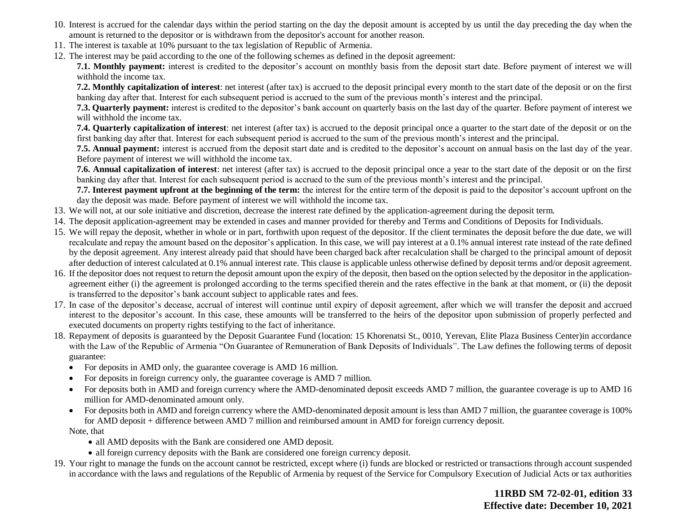- 10. Interest is accrued for the calendar days within the period starting on the day the deposit amount is accepted by us until the day preceding the day when the amount is returned to the depositor or is withdrawn from the depositor's account for another reason.
- 11. The interest is taxable at 10% pursuant to the tax legislation of Republic of Armenia.
- 12. The interest may be paid according to the one of the following schemes as defined in the deposit agreement:

**7.1. Monthly payment:** interest is credited to the depositor's account on monthly basis from the deposit start date. Before payment of interest we will withhold the income tax.

**7.2. Monthly capitalization of interest**: net interest (after tax) is accrued to the deposit principal every month to the start date of the deposit or on the first banking day after that. Interest for each subsequent period is accrued to the sum of the previous month's interest and the principal.

**7.3. Quarterly payment:** interest is credited to the depositor's bank account on quarterly basis on the last day of the quarter. Before payment of interest we will withhold the income tax.

**7.4. Quarterly capitalization of interest**: net interest (after tax) is accrued to the deposit principal once a quarter to the start date of the deposit or on the first banking day after that. Interest for each subsequent period is accrued to the sum of the previous month's interest and the principal.

**7.5. Annual payment:** interest is accrued from the deposit start date and is credited to the depositor's account on annual basis on the last day of the year. Before payment of interest we will withhold the income tax.

**7.6. Annual capitalization of interest**: net interest (after tax) is accrued to the deposit principal once a year to the start date of the deposit or on the first banking day after that. Interest for each subsequent period is accrued to the sum of the previous month's interest and the principal.

**7.7. Interest payment upfront at the beginning of the term:** the interest for the entire term of the deposit is paid to the depositor's account upfront on the day the deposit was made. Before payment of interest we will withhold the income tax.

- 13. We will not, at our sole initiative and discretion, decrease the interest rate defined by the application-agreement during the deposit term.
- 14. The deposit application-agreement may be extended in cases and manner provided for thereby and Terms and Conditions of Deposits for Individuals.
- 15. We will repay the deposit, whether in whole or in part, forthwith upon request of the depositor. If the client terminates the deposit before the due date, we will recalculate and repay the amount based on the depositor's application. In this case, we will pay interest at a 0.1% annual interest rate instead of the rate defined by the deposit agreement. Any interest already paid that should have been charged back after recalculation shall be charged to the principal amount of deposit after deduction of interest calculated at 0.1% annual interest rate. This clause is applicable unless otherwise defined by deposit terms and/or deposit agreement.
- 16. If the depositor does not request to return the deposit amount upon the expiry of the deposit, then based on the option selected by the depositor in the applicationagreement either (i) the agreement is prolonged according to the terms specified therein and the rates effective in the bank at that moment, or (ii) the deposit is transferred to the depositor's bank account subject to applicable rates and fees.
- 17. In case of the depositor's decease, accrual of interest will continue until expiry of deposit agreement, after which we will transfer the deposit and accrued interest to the depositor's account. In this case, these amounts will be transferred to the heirs of the depositor upon submission of properly perfected and executed documents on property rights testifying to the fact of inheritance.
- 18. Repayment of deposits is guaranteed by the Deposit Guarantee Fund (location: 15 Khorenatsi St., 0010, Yerevan, Elite Plaza Business Center)in accordance with the Law of the Republic of Armenia "On Guarantee of Remuneration of Bank Deposits of Individuals". The Law defines the following terms of deposit guarantee:
	- For deposits in AMD only, the guarantee coverage is AMD 16 million.
	- For deposits in foreign currency only, the guarantee coverage is AMD 7 million.
	- For deposits both in AMD and foreign currency where the AMD-denominated deposit exceeds AMD 7 million, the guarantee coverage is up to AMD 16 million for AMD-denominated amount only.
	- For deposits both in AMD and foreign currency where the AMD-denominated deposit amount is less than AMD 7 million, the guarantee coverage is 100% for AMD deposit + difference between AMD 7 million and reimbursed amount in AMD for foreign currency deposit.

Note, that

- all AMD deposits with the Bank are considered one AMD deposit.
- all foreign currency deposits with the Bank are considered one foreign currency deposit.
- 19. Your right to manage the funds on the account cannot be restricted, except where (i) funds are blocked or restricted or transactions through account suspended in accordance with the laws and regulations of the Republic of Armenia by request of the Service for Compulsory Execution of Judicial Acts or tax authorities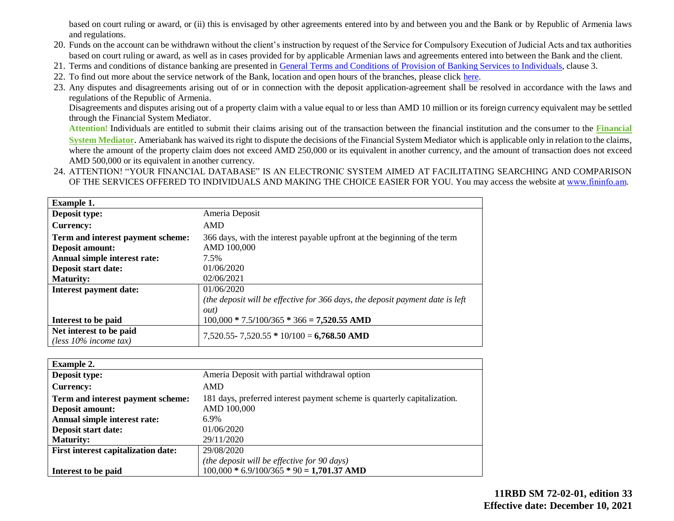based on court ruling or award, or (ii) this is envisaged by other agreements entered into by and between you and the Bank or by Republic of Armenia laws and regulations.

- 20. Funds on the account can be withdrawn without the client's instruction by request of the Service for Compulsory Execution of Judicial Acts and tax authorities based on court ruling or award, as well as in cases provided for by applicable Armenian laws and agreements entered into between the Bank and the client.
- 21. Terms and conditions of distance banking are presented in [General Terms and Conditions of Provision of Banking Services to Individuals,](https://www2.ameriabank.am/userfiles/file/Terms_and_Conditions_PP_arm_29_09_2017_eng.pdf) clause 3.
- 22. To find out more about the service network of the Bank, location and open hours of the branches, please click [here.](https://www2.ameriabank.am/infrastructure.aspx?&lang=28)
- 23. Any disputes and disagreements arising out of or in connection with the deposit application-agreement shall be resolved in accordance with the laws and regulations of the Republic of Armenia.

Disagreements and disputes arising out of a property claim with a value equal to or less than AMD 10 million or its foreign currency equivalent may be settled through the Financial System Mediator.

**Attention!** Individuals are entitled to submit their claims arising out of the transaction between the financial institution and the consumer to the **[Financial](https://ameriabank.am/Page.aspx?id=423&lang=33)  [System Mediator](https://ameriabank.am/Page.aspx?id=423&lang=33)**. Ameriabank has waived its right to dispute the decisions of the Financial System Mediator which is applicable only in relation to the claims, where the amount of the property claim does not exceed AMD 250,000 or its equivalent in another currency, and the amount of transaction does not exceed AMD 500,000 or its equivalent in another currency.

24. ATTENTION! "YOUR FINANCIAL DATABASE" IS AN ELECTRONIC SYSTEM AIMED AT FACILITATING SEARCHING AND COMPARISON OF THE SERVICES OFFERED TO INDIVIDUALS AND MAKING THE CHOICE EASIER FOR YOU. You may access the website at [www.fininfօ.am.](https://www.arlis.am/Res/)

| <b>Example 1.</b>                 |                                                                               |
|-----------------------------------|-------------------------------------------------------------------------------|
| Deposit type:                     | Ameria Deposit                                                                |
| <b>Currency:</b>                  | <b>AMD</b>                                                                    |
| Term and interest payment scheme: | 366 days, with the interest payable upfront at the beginning of the term      |
| Deposit amount:                   | AMD 100,000                                                                   |
| Annual simple interest rate:      | 7.5%                                                                          |
| Deposit start date:               | 01/06/2020                                                                    |
| <b>Maturity:</b>                  | 02/06/2021                                                                    |
| Interest payment date:            | 01/06/2020                                                                    |
|                                   | (the deposit will be effective for 366 days, the deposit payment date is left |
|                                   | out)                                                                          |
| Interest to be paid               | $100,000 * 7.5/100/365 * 366 = 7,520.55$ AMD                                  |
| Net interest to be paid           | $7,520.55 - 7,520.55 * 10/100 = 6,768.50$ AMD                                 |
| (less $10\%$ income tax)          |                                                                               |

| <b>Example 2.</b>                          |                                                                          |
|--------------------------------------------|--------------------------------------------------------------------------|
| Deposit type:                              | Ameria Deposit with partial withdrawal option                            |
| Currency:                                  | <b>AMD</b>                                                               |
| Term and interest payment scheme:          | 181 days, preferred interest payment scheme is quarterly capitalization. |
| Deposit amount:                            | AMD 100,000                                                              |
| Annual simple interest rate:               | 6.9%                                                                     |
| <b>Deposit start date:</b>                 | 01/06/2020                                                               |
| <b>Maturity:</b>                           | 29/11/2020                                                               |
| <b>First interest capitalization date:</b> | 29/08/2020                                                               |
|                                            | (the deposit will be effective for 90 days)                              |
| Interest to be paid                        | $100,000 * 6.9/100/365 * 90 = 1,701.37$ AMD                              |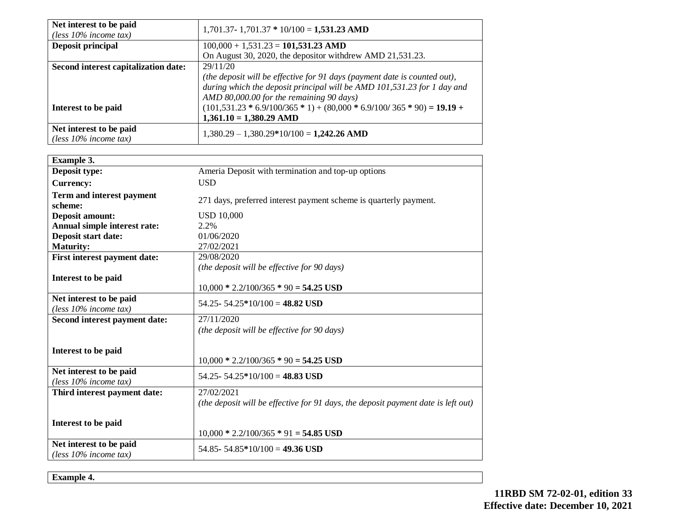| Net interest to be paid<br>(less $10\%$ income tax) | $1,701.37 - 1,701.37 * 10/100 = 1,531.23$ AMD                             |
|-----------------------------------------------------|---------------------------------------------------------------------------|
| <b>Deposit principal</b>                            | $100,000 + 1,531.23 = 101,531.23$ AMD                                     |
|                                                     | On August 30, 2020, the depositor withdrew AMD 21,531.23.                 |
| Second interest capitalization date:                | 29/11/20                                                                  |
|                                                     | (the deposit will be effective for 91 days (payment date is counted out), |
|                                                     | during which the deposit principal will be AMD 101,531.23 for 1 day and   |
|                                                     | AMD 80,000.00 for the remaining 90 days)                                  |
| Interest to be paid                                 | $(101,531.23 * 6.9/100/365 * 1) + (80,000 * 6.9/100/365 * 90) = 19.19 +$  |
|                                                     | $1,361.10 = 1,380.29$ AMD                                                 |
| Net interest to be paid<br>(less $10\%$ income tax) | $1,380.29 - 1,380.29*10/100 = 1,242.26$ AMD                               |

| <b>Example 3.</b>                                   |                                                                                                 |
|-----------------------------------------------------|-------------------------------------------------------------------------------------------------|
| Deposit type:                                       | Ameria Deposit with termination and top-up options                                              |
| <b>Currency:</b>                                    | <b>USD</b>                                                                                      |
| Term and interest payment<br>scheme:                | 271 days, preferred interest payment scheme is quarterly payment.                               |
| <b>Deposit amount:</b>                              | <b>USD 10,000</b>                                                                               |
| Annual simple interest rate:                        | 2.2%                                                                                            |
| Deposit start date:                                 | 01/06/2020                                                                                      |
| <b>Maturity:</b>                                    | 27/02/2021                                                                                      |
| First interest payment date:                        | 29/08/2020                                                                                      |
|                                                     | (the deposit will be effective for 90 days)                                                     |
| Interest to be paid                                 | $10,000 * 2.2/100/365 * 90 = 54.25$ USD                                                         |
| Net interest to be paid<br>(less $10\%$ income tax) | 54.25 - 54.25 * 10/100 = 48.82 USD                                                              |
| Second interest payment date:                       | 27/11/2020                                                                                      |
|                                                     | (the deposit will be effective for 90 days)                                                     |
| Interest to be paid                                 | $10,000 * 2.2/100/365 * 90 = 54.25$ USD                                                         |
| Net interest to be paid<br>(less $10\%$ income tax) | 54.25 - 54.25 * 10/100 = 48.83 USD                                                              |
| Third interest payment date:                        | 27/02/2021<br>(the deposit will be effective for 91 days, the deposit payment date is left out) |
| Interest to be paid                                 | $10,000 * 2.2/100/365 * 91 = 54.85$ USD                                                         |
| Net interest to be paid<br>(less 10% income tax)    | 54.85 - 54.85 * 10/100 = 49.36 USD                                                              |

**Example 4.**